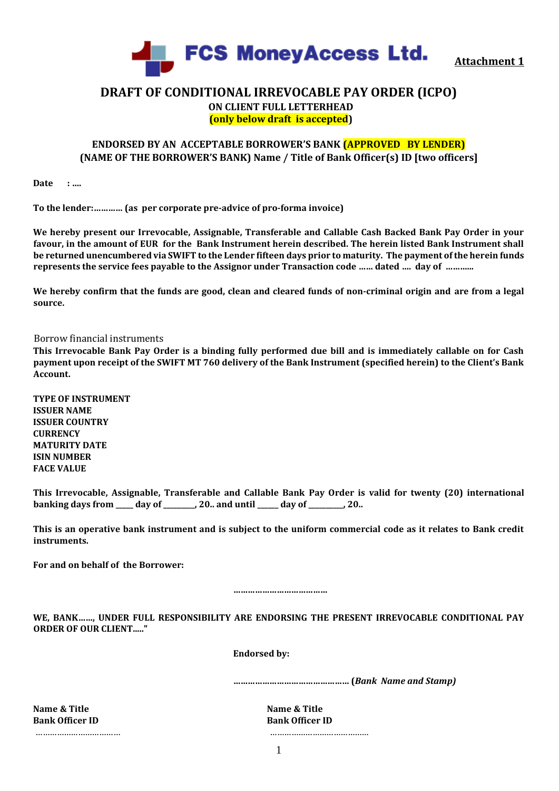

**Attachment 1**

### **DRAFT OF CONDITIONAL IRREVOCABLE PAY ORDER (ICPO) ON CLIENT FULL LETTERHEAD (only below draft is accepted)**

#### **ENDORSED BY AN ACCEPTABLE BORROWER'S BANK (APPROVED BY LENDER) (NAME OF THE BORROWER'S BANK) Name / Title of Bank Officer(s) ID [two officers]**

**Date : ….** 

To the lender:............. (as per corporate pre-advice of pro-forma invoice)

**We hereby present our Irrevocable, Assignable, Transferable and Callable Cash Backed Bank Pay Order in your favour, in the amount of EUR for the Bank Instrument herein described. The herein listed Bank Instrument shall be returned unencumbered via SWIFT to the Lender fifteen days prior to maturity. The payment of the herein funds represents the service fees payable to the Assignor under Transaction code …… dated …. day of ………...** 

We hereby confirm that the funds are good, clean and cleared funds of non-criminal origin and are from a legal **source.** 

Borrow financial instruments

**This Irrevocable Bank Pay Order is a binding fully performed due bill and is immediately callable on for Cash payment upon receipt of the SWIFT MT 760 delivery of the Bank Instrument (specified herein) to the Client's Bank Account.** 

**TYPE OF INSTRUMENT ISSUER NAME ISSUER COUNTRY CURRENCY MATURITY DATE ISIN NUMBER FACE VALUE** 

**This Irrevocable, Assignable, Transferable and Callable Bank Pay Order is valid for twenty (20) international banking days from \_\_\_\_\_ day of \_\_\_\_\_\_\_\_\_, 20.. and until \_\_\_\_\_\_ day of \_\_\_\_\_\_\_\_\_\_, 20..** 

**This is an operative bank instrument and is subject to the uniform commercial code as it relates to Bank credit instruments.** 

**For and on behalf of the Borrower:** 

**…………………………………** 

**WE, BANK……, UNDER FULL RESPONSIBILITY ARE ENDORSING THE PRESENT IRREVOCABLE CONDITIONAL PAY ORDER OF OUR CLIENT....."** 

**Endorsed by:** 

**………………………………………… (***Bank Name and Stamp)*

**Name & Title 19th Contract Contract Contract Contract Contract Contract Contract Contract Contract Contract Contract Contract Contract Contract Contract Contract Contract Contract Contract Contract Contract Contract Contr Bank Officer ID Bank Officer ID** 

……………………………… ……………………………………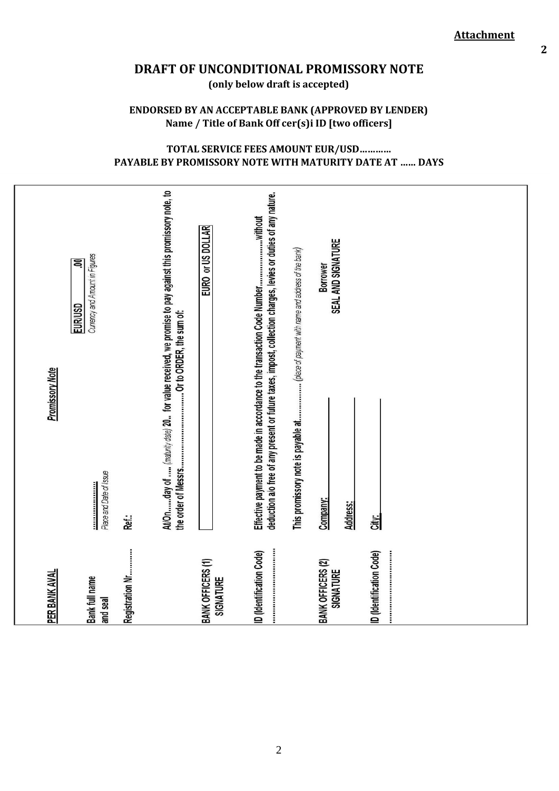**Attachment** 

**2** 

### **DRAFT OF UNCONDITIONAL PROMISSORY NOTE (only below draft is accepted)**

#### **ENDORSED BY AN ACCEPTABLE BANK (APPROVED BY LENDER) Name / Title of Bank Off cer(s)i ID [two officers]**

#### **TOTAL SERVICE FEES AMOUNT EUR/USD………… PAYABLE BY PROMISSORY NOTE WITH MATURITY DATE AT …… DAYS**

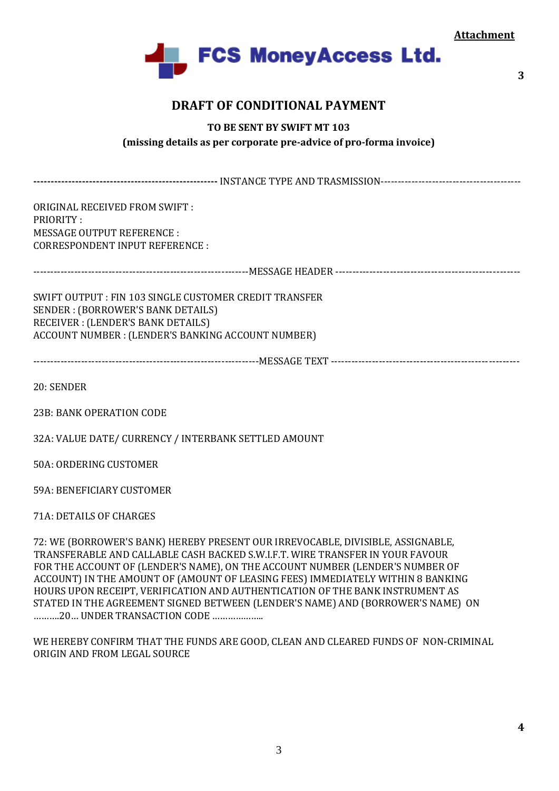**3** 



### **DRAFT OF CONDITIONAL PAYMENT**

### **TO BE SENT BY SWIFT MT 103**  (missing details as per corporate pre-advice of pro-forma invoice)

| <b>ORIGINAL RECEIVED FROM SWIFT:</b><br>PRIORITY:<br><b>MESSAGE OUTPUT REFERENCE:</b><br><b>CORRESPONDENT INPUT REFERENCE:</b>                                                                                                                        |  |  |
|-------------------------------------------------------------------------------------------------------------------------------------------------------------------------------------------------------------------------------------------------------|--|--|
|                                                                                                                                                                                                                                                       |  |  |
| SWIFT OUTPUT: FIN 103 SINGLE CUSTOMER CREDIT TRANSFER<br>SENDER : (BORROWER'S BANK DETAILS)<br><b>RECEIVER: (LENDER'S BANK DETAILS)</b><br>ACCOUNT NUMBER : (LENDER'S BANKING ACCOUNT NUMBER)                                                         |  |  |
|                                                                                                                                                                                                                                                       |  |  |
| 20: SENDER                                                                                                                                                                                                                                            |  |  |
| 23B: BANK OPERATION CODE                                                                                                                                                                                                                              |  |  |
| 32A: VALUE DATE/ CURRENCY / INTERBANK SETTLED AMOUNT                                                                                                                                                                                                  |  |  |
| <b>50A: ORDERING CUSTOMER</b>                                                                                                                                                                                                                         |  |  |
| 59A: BENEFICIARY CUSTOMER                                                                                                                                                                                                                             |  |  |
| 71A: DETAILS OF CHARGES                                                                                                                                                                                                                               |  |  |
| 72: WE (BORROWER'S BANK) HEREBY PRESENT OUR IRREVOCABLE, DIVISIBLE, ASSIGNABLE,<br>TRANSFERABLE AND CALLABLE CASH BACKED S.W.I.F.T. WIRE TRANSFER IN YOUR FAVOUR<br><u>EOD THE ACCOUNT OF HENDED'S NAMEL ON THE ACCOUNT NUMBED HENDED'S NUMBED OF</u> |  |  |

FOR THE ACCOUNT OF (LENDER'S NAME), ON THE ACCOUNT NUMBER (LENDER'S NUMBER OF ACCOUNT) IN THE AMOUNT OF (AMOUNT OF LEASING FEES) IMMEDIATELY WITHIN 8 BANKING HOURS UPON RECEIPT, VERIFICATION AND AUTHENTICATION OF THE BANK INSTRUMENT AS STATED IN THE AGREEMENT SIGNED BETWEEN (LENDER'S NAME) AND (BORROWER'S NAME) ON ……….20… UNDER TRANSACTION CODE ………………..

WE HEREBY CONFIRM THAT THE FUNDS ARE GOOD, CLEAN AND CLEARED FUNDS OF NON‐CRIMINAL ORIGIN AND FROM LEGAL SOURCE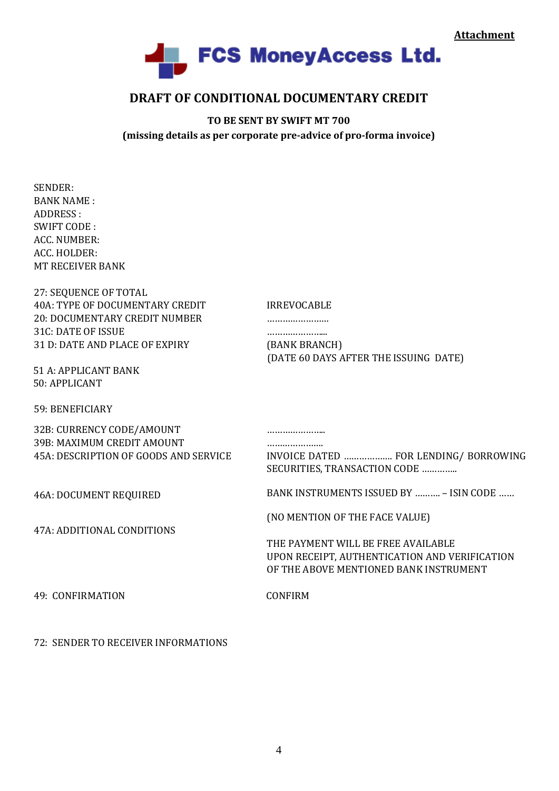

## **DRAFT OF CONDITIONAL DOCUMENTARY CREDIT**

**TO BE SENT BY SWIFT MT 700**  (missing details as per corporate pre-advice of pro-forma *invoice*)

| <b>SENDER:</b><br><b>BANK NAME:</b><br>ADDRESS:<br><b>SWIFT CODE:</b><br>ACC. NUMBER:<br>ACC. HOLDER:<br>MT RECEIVER BANK                                                                                              |                                                                                                                                                                 |
|------------------------------------------------------------------------------------------------------------------------------------------------------------------------------------------------------------------------|-----------------------------------------------------------------------------------------------------------------------------------------------------------------|
| <b>27: SEQUENCE OF TOTAL</b><br><b>40A: TYPE OF DOCUMENTARY CREDIT</b><br><b>20: DOCUMENTARY CREDIT NUMBER</b><br><b>31C: DATE OF ISSUE</b><br>31 D: DATE AND PLACE OF EXPIRY<br>51 A: APPLICANT BANK<br>50: APPLICANT | <b>IRREVOCABLE</b><br>.<br>(BANK BRANCH)<br>(DATE 60 DAYS AFTER THE ISSUING DATE)                                                                               |
| 59: BENEFICIARY                                                                                                                                                                                                        |                                                                                                                                                                 |
| 32B: CURRENCY CODE/AMOUNT<br>39B: MAXIMUM CREDIT AMOUNT<br>45A: DESCRIPTION OF GOODS AND SERVICE                                                                                                                       | INVOICE DATED  FOR LENDING/ BORROWING<br>SECURITIES, TRANSACTION CODE                                                                                           |
| <b>46A: DOCUMENT REQUIRED</b>                                                                                                                                                                                          | BANK INSTRUMENTS ISSUED BY  - ISIN CODE                                                                                                                         |
| 47A: ADDITIONAL CONDITIONS                                                                                                                                                                                             | (NO MENTION OF THE FACE VALUE)<br>THE PAYMENT WILL BE FREE AVAILABLE<br>UPON RECEIPT, AUTHENTICATION AND VERIFICATION<br>OF THE ABOVE MENTIONED BANK INSTRUMENT |
| 49: CONFIRMATION                                                                                                                                                                                                       | <b>CONFIRM</b>                                                                                                                                                  |

72: SENDER TO RECEIVER INFORMATIONS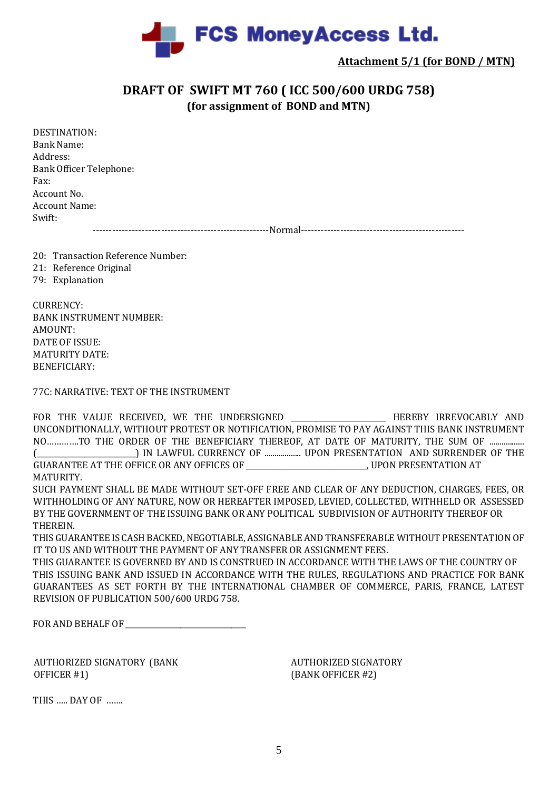

**Attachment 5/1 (for BOND / MTN)**

## **DRAFT OF SWIFT MT 760 ( ICC 500/600 URDG 758) (for assignment of BOND and MTN)**

| DESTINATION:                          |          |
|---------------------------------------|----------|
| <b>Bank Name:</b>                     |          |
|                                       | Address: |
| <b>Bank Officer Telephone:</b>        |          |
|                                       | Fax:     |
| Account No.                           |          |
| <b>Account Name:</b>                  |          |
|                                       | Swift:   |
| -Normal-<br>------------------------- |          |

20: Transaction Reference Number: 21: Reference Original 79: Explanation

CURRENCY: BANK INSTRUMENT NUMBER: AMOUNT: DATE OF ISSUE: MATURITY DATE: BENEFICIARY:

77C: NARRATIVE: TEXT OF THE INSTRUMENT

FOR THE VALUE RECEIVED, WE THE UNDERSIGNED \_\_\_\_\_\_\_\_\_\_\_\_\_\_\_\_\_\_\_\_HEREBY IRREVOCABLY AND UNCONDITIONALLY, WITHOUT PROTEST OR NOTIFICATION, PROMISE TO PAY AGAINST THIS BANK INSTRUMENT NO………….TO THE ORDER OF THE BENEFICIARY THEREOF, AT DATE OF MATURITY, THE SUM OF ................. (\_\_\_\_\_\_\_\_\_\_\_\_\_\_\_\_\_\_\_\_\_\_\_\_\_\_\_) IN LAWFUL CURRENCY OF .................. UPON PRESENTATION AND SURRENDER OF THE GUARANTEE AT THE OFFICE OR ANY OFFICES OF \_\_\_\_\_\_\_\_\_\_\_\_\_\_\_\_\_\_\_\_\_\_\_\_\_\_\_\_\_\_\_\_\_, UPON PRESENTATION AT MATURITY. SUCH PAYMENT SHALL BE MADE WITHOUT SET‐OFF FREE AND CLEAR OF ANY DEDUCTION, CHARGES, FEES, OR WITHHOLDING OF ANY NATURE, NOW OR HEREAFTER IMPOSED, LEVIED, COLLECTED, WITHHELD OR ASSESSED

BY THE GOVERNMENT OF THE ISSUING BANK OR ANY POLITICAL SUBDIVISION OF AUTHORITY THEREOF OR THEREIN.

THIS GUARANTEE IS CASH BACKED, NEGOTIABLE, ASSIGNABLE AND TRANSFERABLE WITHOUT PRESENTATION OF IT TO US AND WITHOUT THE PAYMENT OF ANY TRANSFER OR ASSIGNMENT FEES.

THIS GUARANTEE IS GOVERNED BY AND IS CONSTRUED IN ACCORDANCE WITH THE LAWS OF THE COUNTRY OF THIS ISSUING BANK AND ISSUED IN ACCORDANCE WITH THE RULES, REGULATIONS AND PRACTICE FOR BANK GUARANTEES AS SET FORTH BY THE INTERNATIONAL CHAMBER OF COMMERCE, PARIS, FRANCE, LATEST REVISION OF PUBLICATION 500/600 URDG 758.

FOR AND BEHALF OF \_\_\_\_\_\_\_\_\_\_\_\_\_\_\_\_\_\_\_\_\_\_\_\_\_\_\_\_\_\_\_\_\_

AUTHORIZED SIGNATORY (BANK OFFICER #1)

AUTHORIZED SIGNATORY (BANK OFFICER #2)

THIS ….. DAY OF …….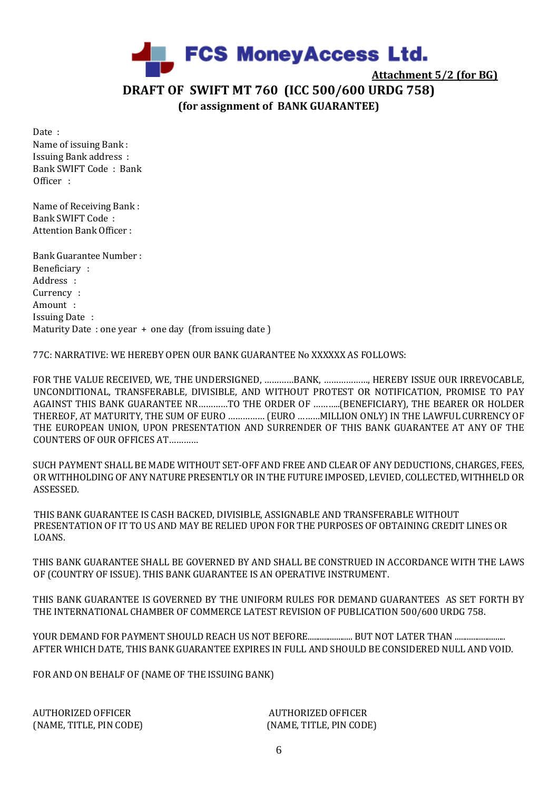

**Attachment 5/2 (for BG)**

**DRAFT OF SWIFT MT 760 (ICC 500/600 URDG 758) (for assignment of BANK GUARANTEE)** 

Date : Name of issuing Bank : Issuing Bank address : Bank SWIFT Code : Bank Officer :

Name of Receiving Bank : Bank SWIFT Code : Attention Bank Officer :

Bank Guarantee Number : Beneficiary : Address : Currency : Amount : Issuing Date : Maturity Date : one year + one day (from issuing date)

77C: NARRATIVE: WE HEREBY OPEN OUR BANK GUARANTEE No XXXXXX AS FOLLOWS:

FOR THE VALUE RECEIVED, WE, THE UNDERSIGNED, …………BANK, ………………, HEREBY ISSUE OUR IRREVOCABLE, UNCONDITIONAL, TRANSFERABLE, DIVISIBLE, AND WITHOUT PROTEST OR NOTIFICATION, PROMISE TO PAY AGAINST THIS BANK GUARANTEE NR…………TO THE ORDER OF ………..(BENEFICIARY), THE BEARER OR HOLDER THEREOF, AT MATURITY, THE SUM OF EURO …………… (EURO ………MILLION ONLY) IN THE LAWFUL CURRENCY OF THE EUROPEAN UNION, UPON PRESENTATION AND SURRENDER OF THIS BANK GUARANTEE AT ANY OF THE COUNTERS OF OUR OFFICES AT…………

SUCH PAYMENT SHALL BE MADE WITHOUT SET‐OFF AND FREE AND CLEAR OF ANY DEDUCTIONS, CHARGES, FEES, OR WITHHOLDING OF ANY NATURE PRESENTLY OR IN THE FUTURE IMPOSED, LEVIED, COLLECTED, WITHHELD OR ASSESSED.

THIS BANK GUARANTEE IS CASH BACKED, DIVISIBLE, ASSIGNABLE AND TRANSFERABLE WITHOUT PRESENTATION OF IT TO US AND MAY BE RELIED UPON FOR THE PURPOSES OF OBTAINING CREDIT LINES OR LOANS.

THIS BANK GUARANTEE SHALL BE GOVERNED BY AND SHALL BE CONSTRUED IN ACCORDANCE WITH THE LAWS OF (COUNTRY OF ISSUE). THIS BANK GUARANTEE IS AN OPERATIVE INSTRUMENT.

THIS BANK GUARANTEE IS GOVERNED BY THE UNIFORM RULES FOR DEMAND GUARANTEES AS SET FORTH BY THE INTERNATIONAL CHAMBER OF COMMERCE LATEST REVISION OF PUBLICATION 500/600 URDG 758.

YOUR DEMAND FOR PAYMENT SHOULD REACH US NOT BEFORE...................... BUT NOT LATER THAN ......................... AFTER WHICH DATE, THIS BANK GUARANTEE EXPIRES IN FULL AND SHOULD BE CONSIDERED NULL AND VOID.

FOR AND ON BEHALF OF (NAME OF THE ISSUING BANK)

AUTHORIZED OFFICER AUTHORIZED OFFICER

(NAME, TITLE, PIN CODE) (NAME, TITLE, PIN CODE)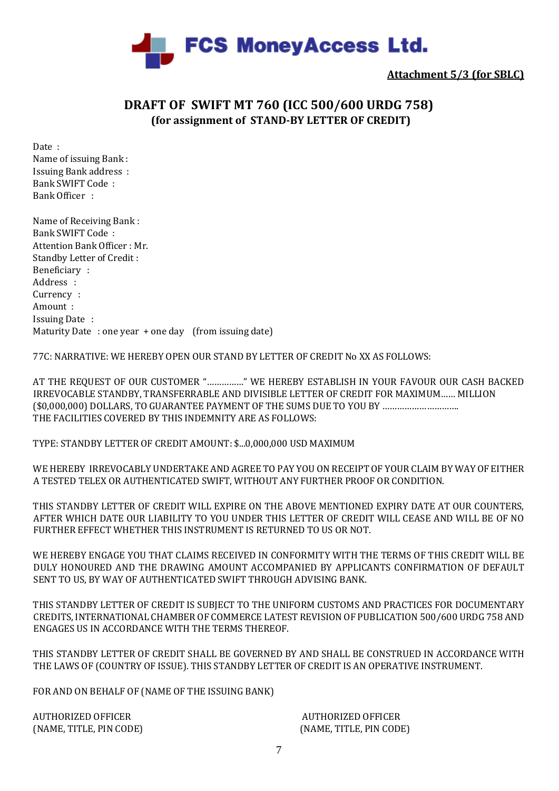

**Attachment 5/3 (for SBLC)**

## **DRAFT OF SWIFT MT 760 (ICC 500/600 URDG 758) (for assignment of STAND-BY LETTER OF CREDIT)**

Date : Name of issuing Bank : Issuing Bank address : Bank SWIFT Code : Bank Officer :

Name of Receiving Bank : Bank SWIFT Code : Attention Bank Officer : Mr. Standby Letter of Credit : Beneficiary : Address : Currency : Amount : Issuing Date : Maturity Date : one year + one day (from issuing date)

77C: NARRATIVE: WE HEREBY OPEN OUR STAND BY LETTER OF CREDIT No XX AS FOLLOWS:

AT THE REQUEST OF OUR CUSTOMER "……………" WE HEREBY ESTABLISH IN YOUR FAVOUR OUR CASH BACKED IRREVOCABLE STANDBY, TRANSFERRABLE AND DIVISIBLE LETTER OF CREDIT FOR MAXIMUM…… MILLION (\$0,000,000) DOLLARS, TO GUARANTEE PAYMENT OF THE SUMS DUE TO YOU BY …………………………. THE FACILITIES COVERED BY THIS INDEMNITY ARE AS FOLLOWS:

TYPE: STANDBY LETTER OF CREDIT AMOUNT: \$...0,000,000 USD MAXIMUM

WE HEREBY IRREVOCABLY UNDERTAKE AND AGREE TO PAY YOU ON RECEIPT OF YOUR CLAIM BY WAY OF EITHER A TESTED TELEX OR AUTHENTICATED SWIFT, WITHOUT ANY FURTHER PROOF OR CONDITION.

THIS STANDBY LETTER OF CREDIT WILL EXPIRE ON THE ABOVE MENTIONED EXPIRY DATE AT OUR COUNTERS, AFTER WHICH DATE OUR LIABILITY TO YOU UNDER THIS LETTER OF CREDIT WILL CEASE AND WILL BE OF NO FURTHER EFFECT WHETHER THIS INSTRUMENT IS RETURNED TO US OR NOT.

WE HEREBY ENGAGE YOU THAT CLAIMS RECEIVED IN CONFORMITY WITH THE TERMS OF THIS CREDIT WILL BE DULY HONOURED AND THE DRAWING AMOUNT ACCOMPANIED BY APPLICANTS CONFIRMATION OF DEFAULT SENT TO US, BY WAY OF AUTHENTICATED SWIFT THROUGH ADVISING BANK.

THIS STANDBY LETTER OF CREDIT IS SUBJECT TO THE UNIFORM CUSTOMS AND PRACTICES FOR DOCUMENTARY CREDITS, INTERNATIONAL CHAMBER OF COMMERCE LATEST REVISION OF PUBLICATION 500/600 URDG 758 AND ENGAGES US IN ACCORDANCE WITH THE TERMS THEREOF.

THIS STANDBY LETTER OF CREDIT SHALL BE GOVERNED BY AND SHALL BE CONSTRUED IN ACCORDANCE WITH THE LAWS OF (COUNTRY OF ISSUE). THIS STANDBY LETTER OF CREDIT IS AN OPERATIVE INSTRUMENT.

FOR AND ON BEHALF OF (NAME OF THE ISSUING BANK)

AUTHORIZED OFFICER AUTHORIZED OFFICER

(NAME, TITLE, PIN CODE) (NAME, TITLE, PIN CODE)